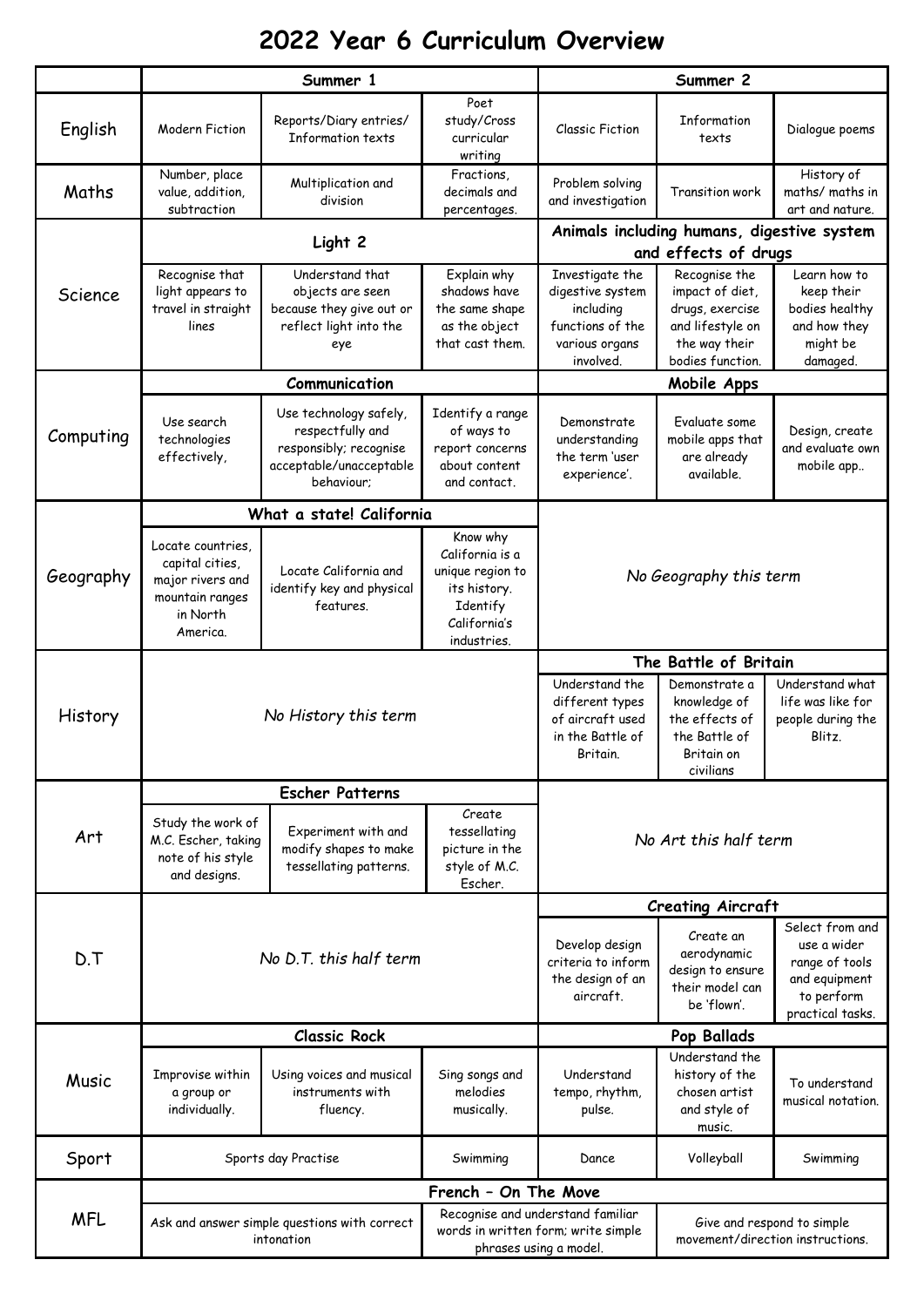## **2022 Year 6 Curriculum Overview**

|            | Summer 1                                                                                            |                                                                                                               |                                                                                                            | Summer 2                                                                                            |                                                                                                              |                                                                                                     |
|------------|-----------------------------------------------------------------------------------------------------|---------------------------------------------------------------------------------------------------------------|------------------------------------------------------------------------------------------------------------|-----------------------------------------------------------------------------------------------------|--------------------------------------------------------------------------------------------------------------|-----------------------------------------------------------------------------------------------------|
| English    | <b>Modern Fiction</b>                                                                               | Reports/Diary entries/<br><b>Information texts</b>                                                            | Poet<br>study/Cross<br>curricular<br>writing                                                               | <b>Classic Fiction</b>                                                                              | Information<br>texts                                                                                         | Dialogue poems                                                                                      |
| Maths      | Number, place<br>value, addition,<br>subtraction                                                    | Multiplication and<br>division                                                                                | Fractions,<br>decimals and<br>percentages.                                                                 | Problem solving<br>and investigation                                                                | Transition work                                                                                              | History of<br>maths/ maths in<br>art and nature.                                                    |
|            | Light 2                                                                                             |                                                                                                               |                                                                                                            | Animals including humans, digestive system<br>and effects of drugs                                  |                                                                                                              |                                                                                                     |
| Science    | Recognise that<br>light appears to<br>travel in straight<br>lines                                   | Understand that<br>objects are seen<br>because they give out or<br>reflect light into the<br>eye              | Explain why<br>shadows have<br>the same shape<br>as the object<br>that cast them.                          | Investigate the<br>digestive system<br>including<br>functions of the<br>various organs<br>involved. | Recognise the<br>impact of diet,<br>drugs, exercise<br>and lifestyle on<br>the way their<br>bodies function. | Learn how to<br>keep their<br>bodies healthy<br>and how they<br>might be<br>damaged.                |
|            | Communication                                                                                       |                                                                                                               |                                                                                                            | Mobile Apps                                                                                         |                                                                                                              |                                                                                                     |
| Computing  | Use search<br>technologies<br>effectively,                                                          | Use technology safely,<br>respectfully and<br>responsibly; recognise<br>acceptable/unacceptable<br>behaviour; | Identify a range<br>of ways to<br>report concerns<br>about content<br>and contact.                         | Demonstrate<br>understanding<br>the term 'user<br>experience'.                                      | Evaluate some<br>mobile apps that<br>are already<br>available.                                               | Design, create<br>and evaluate own<br>mobile app                                                    |
|            | What a state! California                                                                            |                                                                                                               |                                                                                                            |                                                                                                     |                                                                                                              |                                                                                                     |
| Geography  | Locate countries,<br>capital cities,<br>major rivers and<br>mountain ranges<br>in North<br>America. | Locate California and<br>identify key and physical<br>features.                                               | Know why<br>California is a<br>unique region to<br>its history.<br>Identify<br>California's<br>industries. | No Geography this term                                                                              |                                                                                                              |                                                                                                     |
|            | No History this term                                                                                |                                                                                                               |                                                                                                            | The Battle of Britain                                                                               |                                                                                                              |                                                                                                     |
| History    |                                                                                                     |                                                                                                               |                                                                                                            | Understand the<br>different types<br>of aircraft used<br>in the Battle of<br>Britain.               | Demonstrate a<br>knowledge of<br>the effects of<br>the Battle of<br>Britain on<br>civilians                  | Understand what<br>life was like for<br>people during the<br>Blitz.                                 |
|            | <b>Escher Patterns</b>                                                                              |                                                                                                               |                                                                                                            |                                                                                                     |                                                                                                              |                                                                                                     |
| Art        | Study the work of<br>M.C. Escher, taking<br>note of his style<br>and designs.                       | Experiment with and<br>modify shapes to make<br>tessellating patterns.                                        | Create.<br>tessellating<br>picture in the<br>style of M.C.<br>Escher.                                      |                                                                                                     | No Art this half term                                                                                        |                                                                                                     |
|            |                                                                                                     |                                                                                                               | <b>Creating Aircraft</b>                                                                                   |                                                                                                     |                                                                                                              |                                                                                                     |
| D.T        | No D.T. this half term                                                                              |                                                                                                               |                                                                                                            | Develop design<br>criteria to inform<br>the design of an<br>aircraft.                               | Create an<br>aerodynamic<br>design to ensure<br>their model can<br>be 'flown'.                               | Select from and<br>use a wider<br>range of tools<br>and equipment<br>to perform<br>practical tasks. |
|            | <b>Classic Rock</b>                                                                                 |                                                                                                               |                                                                                                            |                                                                                                     | Pop Ballads                                                                                                  |                                                                                                     |
| Music      | Improvise within<br>a group or<br>individually.                                                     | Using voices and musical<br>instruments with<br>fluency.                                                      | Sing songs and<br>melodies<br>musically.                                                                   | Understand<br>tempo, rhythm,<br>pulse.                                                              | Understand the<br>history of the<br>chosen artist<br>and style of<br>music.                                  | To understand<br>musical notation.                                                                  |
| Sport      | Sports day Practise                                                                                 |                                                                                                               | Swimming                                                                                                   | Dance                                                                                               | Volleyball                                                                                                   | Swimming                                                                                            |
| <b>MFL</b> | French - On The Move                                                                                |                                                                                                               |                                                                                                            |                                                                                                     |                                                                                                              |                                                                                                     |
|            | Ask and answer simple questions with correct<br>intonation                                          |                                                                                                               | Recognise and understand familiar<br>words in written form; write simple<br>phrases using a model.         |                                                                                                     | Give and respond to simple<br>movement/direction instructions.                                               |                                                                                                     |